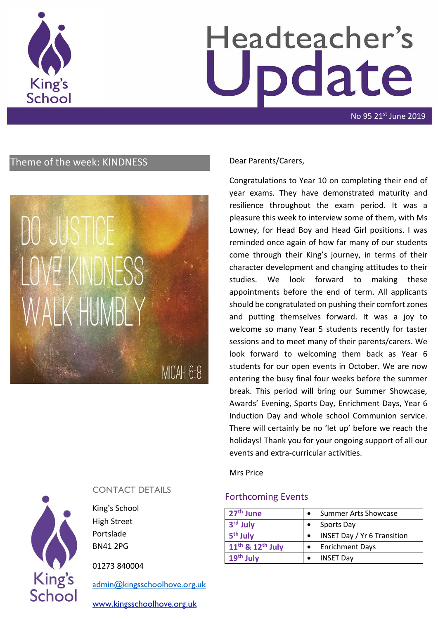

## Headteacher's odate

No 95 21st June 2019

### Theme of the week: KINDNESS Dear Parents/Carers,

## DO JUSTICE LOVE KINDNESS WALK HUMBI Y

MICAH 6:8

# **King's** School

#### CONTACT DETAILS

King's School High Street Portslade BN41 2PG

01273 840004

[admin@kingsschoolhove.org.uk](mailto:admin@kingsschoolhove.org.uk)

[www.kingsschoolhove.org.uk](http://www.kingsschoolhove.org.uk/)

Congratulations to Year 10 on completing their end of year exams. They have demonstrated maturity and resilience throughout the exam period. It was a pleasure this week to interview some of them, with Ms Lowney, for Head Boy and Head Girl positions. I was reminded once again of how far many of our students come through their King's journey, in terms of their character development and changing attitudes to their studies. We look forward to making these appointments before the end of term. All applicants should be congratulated on pushing their comfort zones and putting themselves forward. It was a joy to welcome so many Year 5 students recently for taster sessions and to meet many of their parents/carers. We look forward to welcoming them back as Year 6 students for our open events in October. We are now entering the busy final four weeks before the summer break. This period will bring our Summer Showcase, Awards' Evening, Sports Day, Enrichment Days, Year 6 Induction Day and whole school Communion service. There will certainly be no 'let up' before we reach the holidays! Thank you for your ongoing support of all our events and extra-curricular activities.

Mrs Price

#### Forthcoming Events

| 27 <sup>th</sup> June      | <b>Summer Arts Showcase</b>        |
|----------------------------|------------------------------------|
| 3 <sup>rd</sup> July       | Sports Day                         |
| 5 <sup>th</sup> July       | <b>INSET Day / Yr 6 Transition</b> |
| $11^{th}$ & $12^{th}$ July | • Enrichment Days                  |
| $19th$ July                | <b>INSET Day</b>                   |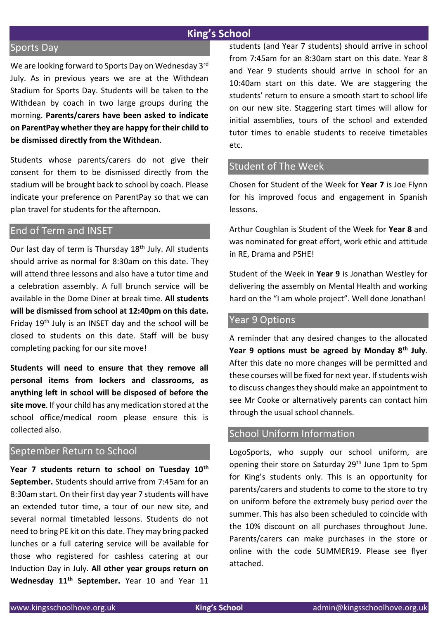#### **King's School**

#### Sports Day

We are looking forward to Sports Day on Wednesday 3rd July. As in previous years we are at the Withdean Stadium for Sports Day. Students will be taken to the Withdean by coach in two large groups during the morning. **Parents/carers have been asked to indicate on ParentPay whether they are happy for their child to be dismissed directly from the Withdean**.

Students whose parents/carers do not give their consent for them to be dismissed directly from the stadium will be brought back to school by coach. Please indicate your preference on ParentPay so that we can plan travel for students for the afternoon.

#### End of Term and INSET

Our last day of term is Thursday 18<sup>th</sup> July. All students should arrive as normal for 8:30am on this date. They will attend three lessons and also have a tutor time and a celebration assembly. A full brunch service will be available in the Dome Diner at break time. **All students will be dismissed from school at 12:40pm on this date.** Friday 19th July is an INSET day and the school will be closed to students on this date. Staff will be busy completing packing for our site move!

**Students will need to ensure that they remove all personal items from lockers and classrooms, as anything left in school will be disposed of before the site move**. If your child has any medication stored at the school office/medical room please ensure this is collected also.

#### September Return to School

**Year 7 students return to school on Tuesday 10th September.** Students should arrive from 7:45am for an 8:30am start. On their first day year 7 students will have an extended tutor time, a tour of our new site, and several normal timetabled lessons. Students do not need to bring PE kit on this date. They may bring packed lunches or a full catering service will be available for those who registered for cashless catering at our Induction Day in July. **All other year groups return on Wednesday 11th September.** Year 10 and Year 11 students (and Year 7 students) should arrive in school from 7:45am for an 8:30am start on this date. Year 8 and Year 9 students should arrive in school for an 10:40am start on this date. We are staggering the students' return to ensure a smooth start to school life on our new site. Staggering start times will allow for initial assemblies, tours of the school and extended tutor times to enable students to receive timetables etc.

#### Student of The Week

Chosen for Student of the Week for **Year 7** is Joe Flynn for his improved focus and engagement in Spanish lessons.

Arthur Coughlan is Student of the Week for **Year 8** and was nominated for great effort, work ethic and attitude in RE, Drama and PSHE!

Student of the Week in **Year 9** is Jonathan Westley for delivering the assembly on Mental Health and working hard on the "I am whole project". Well done Jonathan!

#### Year 9 Options

A reminder that any desired changes to the allocated **Year 9 options must be agreed by Monday 8th July**. After this date no more changes will be permitted and these courses will be fixed for next year. If students wish to discuss changes they should make an appointment to see Mr Cooke or alternatively parents can contact him through the usual school channels.

#### School Uniform Information

LogoSports, who supply our school uniform, are opening their store on Saturday 29<sup>th</sup> June 1pm to 5pm for King's students only. This is an opportunity for parents/carers and students to come to the store to try on uniform before the extremely busy period over the summer. This has also been scheduled to coincide with the 10% discount on all purchases throughout June. Parents/carers can make purchases in the store or online with the code SUMMER19. Please see flyer attached.